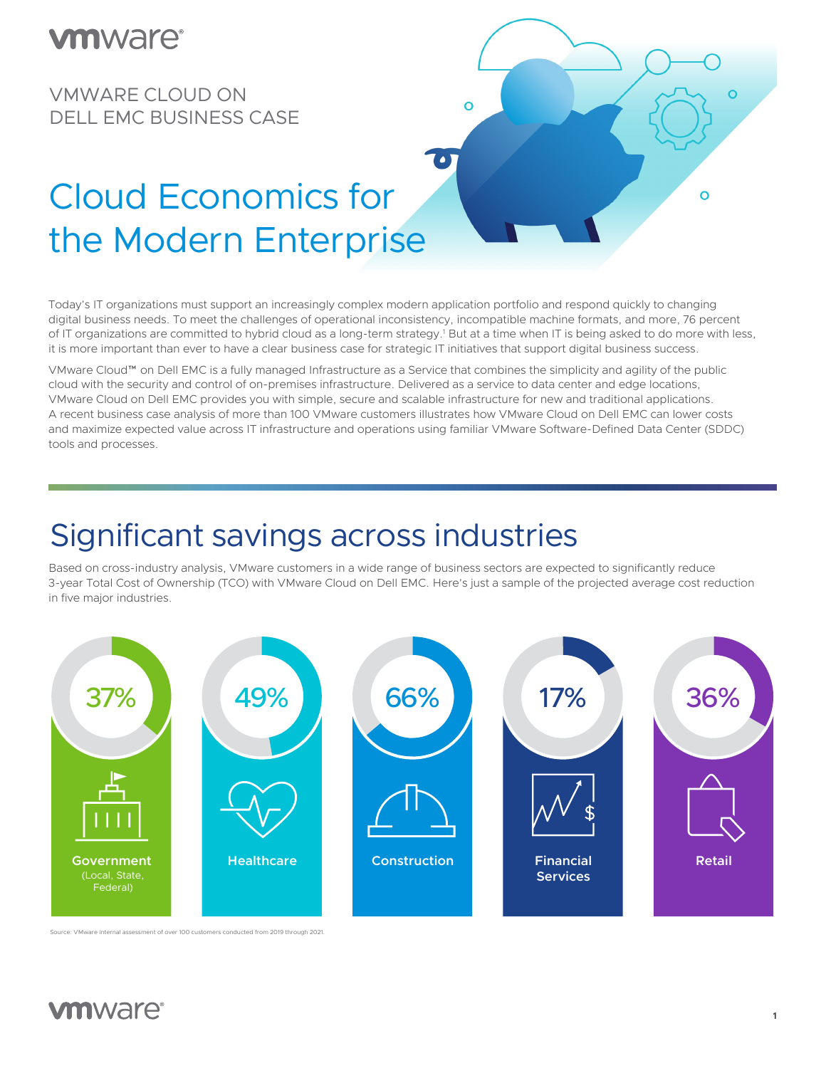#### $\bullet$  and  $\bullet$  is the contract of  $\bullet$ **VIII** WORLE VAN ALAMA  $VIIIVVGI \n\subset$

VMWARE CLOUD ON DELL EMC BUSINESS CASE



#### Cloud Economics for the Modern Enterprise the Modern Enterprise Service<br>The Modern Enterprise Service changing digital business needs. To meet the challenges of operational inconsistency, incompatible machine formats, The Modern Enternrise changing distribution needs. To meet the challenges of operational incompatible machine for operations of operational incompatible materials. The challenges of operations of operations of operations of  $\alpha$

Today's IT organizations must support an increasingly complex modern application portfolio and respond quickly to changing of IT organizations are committed to hybrid cloud as a long-term strategy.<sup>1</sup> But at a time when IT is being asked to do more with less, it is more important than ever to have a clear business case for strategic IT initiatives that support digital business success. digital business needs. To meet the challenges of operational inconsistency, incompatible machine formats, and more, 76 percent

VMware Cloud™ on Dell EMC is a fully managed Infrastructure as a Service that combines the simplicity and agility of the public cloud with the security and control of on-premises infrastructure. Delivered as a service to data center and edge locations, and maximize expected value across IT infrastructure and operations using familiar VMware Software-Defined Data Center (SDDC) tools and processes.<br>
using familiar VMware Software-Defined Data center (SDDC) tools and processes. cloud with the security and control of on-premises inhastracture. Delivered as a service to data center and edge locations,<br>VMware Cloud on Dell EMC provides you with simple, secure and scalable infrastructure for new and A recent business case analysis of more than 100 VMware customers illustrates how VMware Cloud on Dell EMC can lower costs using familiar VMW are Software-Defined Data Center (SDDC) to one of the center (SDDC) to obtain  $\alpha$ 

and traditional applications. A recent business case analysis of more than 100 VMware customers illustrates how

# Significant savings across industries

Significant savings across industries.<br>Significant savings across industries and savings across industries and savings across industries and savings<br>Significant savings across industries and savings across industries and s Based on cross-industry analysis, VMware customers in a wide range of business sectors are expected to significantly reduce 3-year Total Cost of Ownership (TCO) with VMware Cloud on Dell EMC. Here's just a sample of the projected average cost reduction<br>. in five major industries. average cost reduction in five major industries.



Source: VMware internal assessment of over 100 customers conducted from 2019 through 2021.

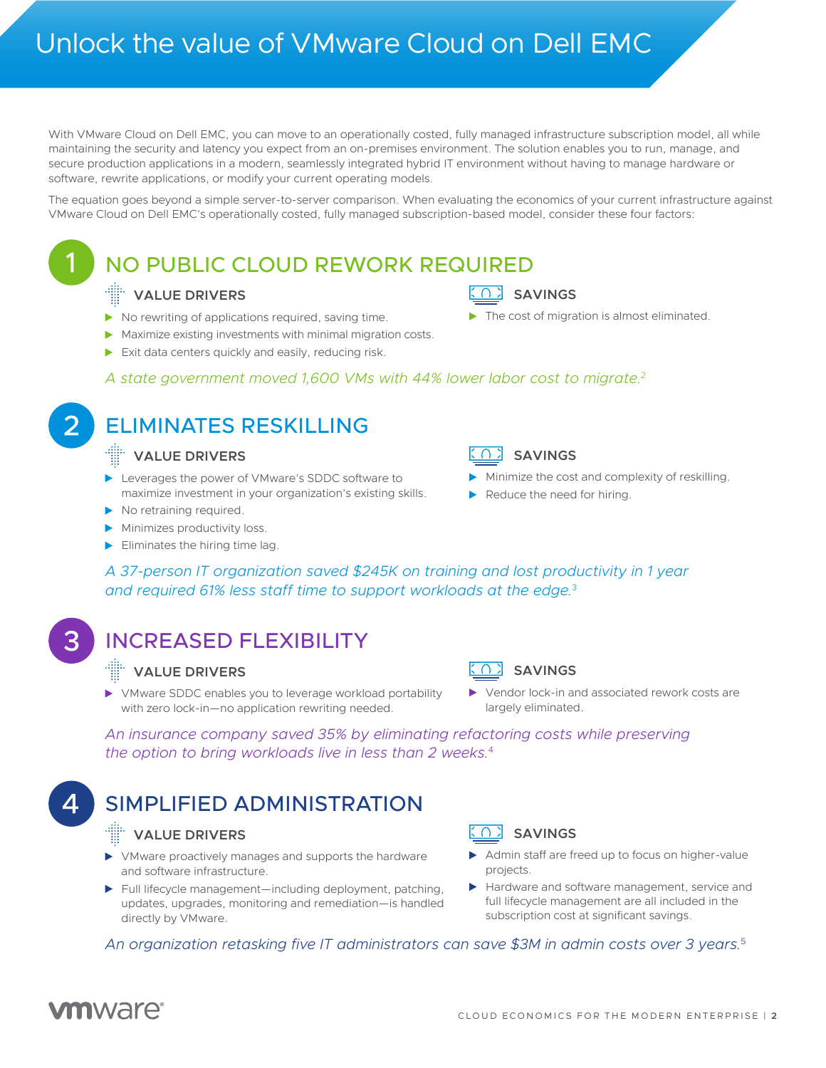With VMware Cloud on Dell EMC, you can move to an operationally costed, fully managed infrastructure subscription model, all while maintaining the security and latency you expect from an on-premises environment. The solution enables you to run, manage, and secure production applications in a modern, seamlessly integrated hybrid IT environment without having to manage hardware or software, rewrite applications, or modify your current operating models.

The equation goes beyond a simple server-to-server-to-server comparison. When evaluating the economics of your The equation goes beyond a simple server-to-server comparison. When evaluating the economics of your current infrastructure against VMware Cloud on Dell EMC's operationally costed, fully managed subscription-based model, consider these four factors:

# infrastructure against VMW ware Cloud on Dell EMC's operationally costed, fully managed subscription-based mod

### C 1 NO PUBLIC CLOUD REWORK REQUIRED

#### **VALUE DRIVERS**

- $\blacktriangleright$  No rewriting of applications required, saving time.
- Maximize existing investments with minimal migration costs.
- Exit data centers quickly and easily, reducing risk.

### A state government moved 1,600 VMs with 44% lower labor cost to migrate.<sup>2</sup>

### ELIMINATES RESKILLING

### **VALUE DRIVERS VALUE DRIVERS**

- Leverages the power of VMware's SDDC software to maximize investment in your organization's existing skills.
- No retraining required.
- $\blacktriangleright$  Minimizes productivity loss.
- $\blacktriangleright$  Eliminates the hiring time lag.



**SAVINGS**

### **VALUE** SAVINGS

Minimize the cost and complexity of reskilling.

The cost of migration is almost eliminated.

Reduce the need for hiring.

A 37-person IT organization saved \$245K on training and lost productivity in 1 year and required 61% less staff time to support workloads at the edge.<sup>3</sup>

## **SAVING REASED FLEXIBILITY**

### The cost of migration is almost eliminated. **VALUE DRIVERS**

VMware SDDC enables you to leverage workload portability with zero lock-in—no application rewriting needed.



Vendor lock-in and associated rework costs are largely eliminated.

*A state government moved*  Reduce the need for hiring. *An insurance company saved 35% by eliminating refactoring costs while preserving the option to bring workloads live in less than 2 weeks.*<sup>4</sup>

## *1,600 VMs with 44% lower*  SIMPLIFIED ADMINISTRATION

### *labor cost to migrate.2* **VALUE DRIVERS**

- VMware proactively manages and supports the hardware and software infrastructure.
- Full lifecycle management—including deployment, patching, updates, upgrades, monitoring and remediation—is handled directly by VMware.



- Admin staff are freed up to focus on higher-value<br>projects projects.
- Hardware and software management, service and<br>full lifecycle management are all included in the *workloads at the edge.3* subscription cost at significant savings. full lifecycle management are all included in the

*An organization retasking five IT administrators can save \$3M in admin costs over 3 years.*<sup>5</sup>